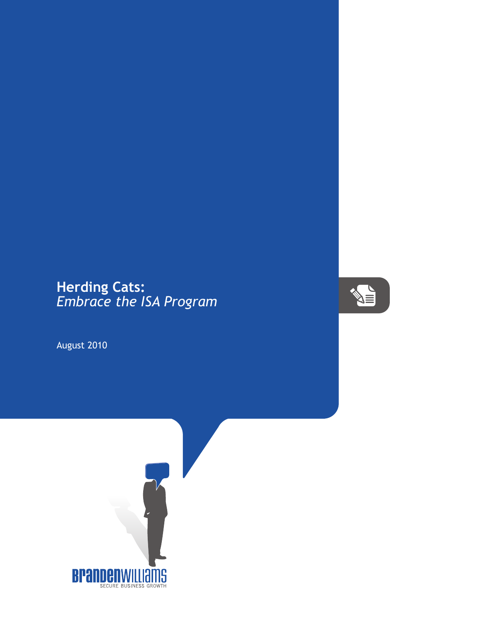## **Herding Cats:** *Embrace the ISA Program*

August 2010



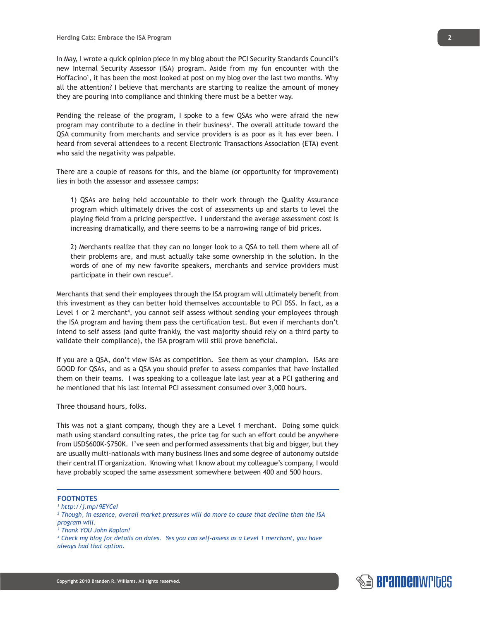In May, I wrote a quick opinion piece in my blog about the PCI Security Standards Council's new Internal Security Assessor (ISA) program. Aside from my fun encounter with the Hoffacino<sup>1</sup>, it has been the most looked at post on my blog over the last two months. Why all the attention? I believe that merchants are starting to realize the amount of money they are pouring into compliance and thinking there must be a better way.

Pending the release of the program, I spoke to a few QSAs who were afraid the new program may contribute to a decline in their business<sup>2</sup>. The overall attitude toward the QSA community from merchants and service providers is as poor as it has ever been. I heard from several attendees to a recent Electronic Transactions Association (ETA) event who said the negativity was palpable.

There are a couple of reasons for this, and the blame (or opportunity for improvement) lies in both the assessor and assessee camps:

1) QSAs are being held accountable to their work through the Quality Assurance program which ultimately drives the cost of assessments up and starts to level the playing field from a pricing perspective. I understand the average assessment cost is increasing dramatically, and there seems to be a narrowing range of bid prices.

2) Merchants realize that they can no longer look to a QSA to tell them where all of their problems are, and must actually take some ownership in the solution. In the words of one of my new favorite speakers, merchants and service providers must participate in their own rescue<sup>3</sup>.

Merchants that send their employees through the ISA program will ultimately benefit from this investment as they can better hold themselves accountable to PCI DSS. In fact, as a Level 1 or 2 merchant<sup>4</sup>, you cannot self assess without sending your employees through the ISA program and having them pass the certification test. But even if merchants don't intend to self assess (and quite frankly, the vast majority should rely on a third party to validate their compliance), the ISA program will still prove beneficial.

If you are a QSA, don't view ISAs as competition. See them as your champion. ISAs are GOOD for QSAs, and as a QSA you should prefer to assess companies that have installed them on their teams. I was speaking to a colleague late last year at a PCI gathering and he mentioned that his last internal PCI assessment consumed over 3,000 hours.

Three thousand hours, folks.

This was not a giant company, though they are a Level 1 merchant. Doing some quick math using standard consulting rates, the price tag for such an effort could be anywhere from USD\$600K-\$750K. I've seen and performed assessments that big and bigger, but they are usually multi-nationals with many business lines and some degree of autonomy outside their central IT organization. Knowing what I know about my colleague's company, I would have probably scoped the same assessment somewhere between 400 and 500 hours.

## **FOOTNOTES**

*1 http://j.mp/9EYCeI*

<sup>2</sup> Though, in essence, overall market pressures will do more to cause that decline than the ISA *program will.*

*4 Check my blog for details on dates. Yes you can self-assess as a Level 1 merchant, you have always had that option.*



*<sup>3</sup> Thank YOU John Kaplan!*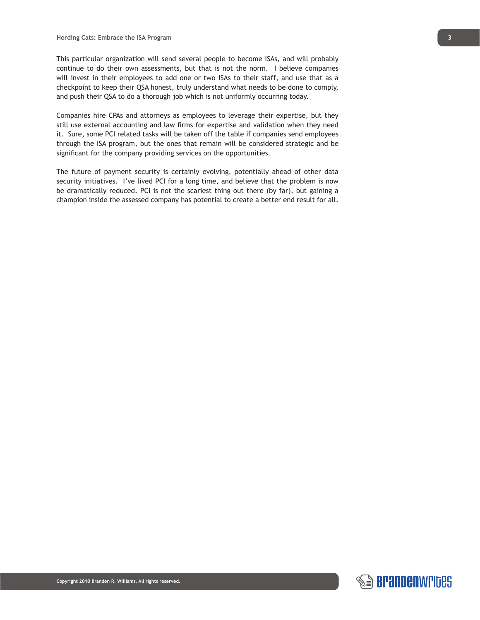This particular organization will send several people to become ISAs, and will probably continue to do their own assessments, but that is not the norm. I believe companies will invest in their employees to add one or two ISAs to their staff, and use that as a checkpoint to keep their QSA honest, truly understand what needs to be done to comply, and push their QSA to do a thorough job which is not uniformly occurring today.

Companies hire CPAs and attorneys as employees to leverage their expertise, but they still use external accounting and law firms for expertise and validation when they need it. Sure, some PCI related tasks will be taken off the table if companies send employees through the ISA program, but the ones that remain will be considered strategic and be significant for the company providing services on the opportunities.

The future of payment security is certainly evolving, potentially ahead of other data security initiatives. I've lived PCI for a long time, and believe that the problem is now be dramatically reduced. PCI is not the scariest thing out there (by far), but gaining a champion inside the assessed company has potential to create a better end result for all.